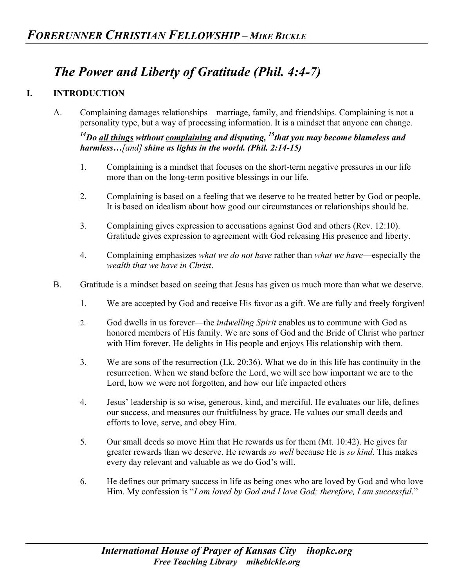## *The Power and Liberty of Gratitude (Phil. 4:4-7)*

## **I. INTRODUCTION**

A. Complaining damages relationships—marriage, family, and friendships. Complaining is not a personality type, but a way of processing information. It is a mindset that anyone can change.

*14Do all things without complaining and disputing, 15that you may become blameless and harmless…[and] shine as lights in the world. (Phil. 2:14-15)*

- 1. Complaining is a mindset that focuses on the short-term negative pressures in our life more than on the long-term positive blessings in our life.
- 2. Complaining is based on a feeling that we deserve to be treated better by God or people. It is based on idealism about how good our circumstances or relationships should be.
- 3. Complaining gives expression to accusations against God and others (Rev. 12:10). Gratitude gives expression to agreement with God releasing His presence and liberty.
- 4. Complaining emphasizes *what we do not have* rather than *what we have*—especially the *wealth that we have in Christ*.
- B. Gratitude is a mindset based on seeing that Jesus has given us much more than what we deserve.
	- 1. We are accepted by God and receive His favor as a gift. We are fully and freely forgiven!
	- 2. God dwells in us forever—the *indwelling Spirit* enables us to commune with God as honored members of His family. We are sons of God and the Bride of Christ who partner with Him forever. He delights in His people and enjoys His relationship with them.
	- 3. We are sons of the resurrection (Lk. 20:36). What we do in this life has continuity in the resurrection. When we stand before the Lord, we will see how important we are to the Lord, how we were not forgotten, and how our life impacted others
	- 4. Jesus' leadership is so wise, generous, kind, and merciful. He evaluates our life, defines our success, and measures our fruitfulness by grace. He values our small deeds and efforts to love, serve, and obey Him.
	- 5. Our small deeds so move Him that He rewards us for them (Mt. 10:42). He gives far greater rewards than we deserve. He rewards *so well* because He is *so kind*. This makes every day relevant and valuable as we do God's will.
	- 6. He defines our primary success in life as being ones who are loved by God and who love Him. My confession is "*I am loved by God and I love God; therefore, I am successful*."